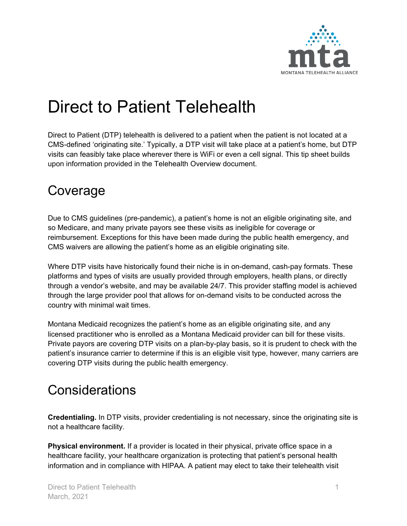

# Direct to Patient Telehealth

Direct to Patient (DTP) telehealth is delivered to a patient when the patient is not located at a CMS-defined 'originating site.' Typically, a DTP visit will take place at a patient's home, but DTP visits can feasibly take place wherever there is WiFi or even a cell signal. This tip sheet builds upon information provided in the Telehealth Overview document.

## Coverage

Due to CMS guidelines (pre-pandemic), a patient's home is not an eligible originating site, and so Medicare, and many private payors see these visits as ineligible for coverage or reimbursement. Exceptions for this have been made during the public health emergency, and CMS waivers are allowing the patient's home as an eligible originating site.

Where DTP visits have historically found their niche is in on-demand, cash-pay formats. These platforms and types of visits are usually provided through employers, health plans, or directly through a vendor's website, and may be available 24/7. This provider staffing model is achieved through the large provider pool that allows for on-demand visits to be conducted across the country with minimal wait times.

Montana Medicaid recognizes the patient's home as an eligible originating site, and any licensed practitioner who is enrolled as a Montana Medicaid provider can bill for these visits. Private payors are covering DTP visits on a plan-by-play basis, so it is prudent to check with the patient's insurance carrier to determine if this is an eligible visit type, however, many carriers are covering DTP visits during the public health emergency.

## **Considerations**

**Credentialing.** In DTP visits, provider credentialing is not necessary, since the originating site is not a healthcare facility.

**Physical environment.** If a provider is located in their physical, private office space in a healthcare facility, your healthcare organization is protecting that patient's personal health information and in compliance with HIPAA. A patient may elect to take their telehealth visit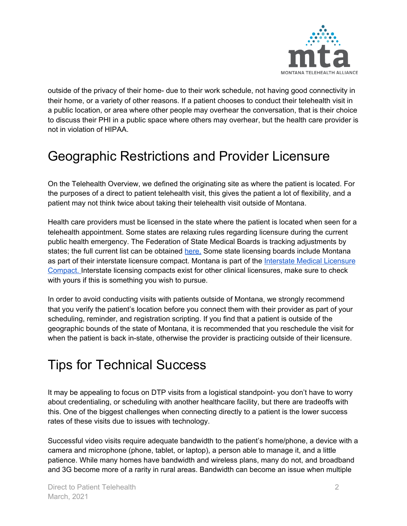

outside of the privacy of their home- due to their work schedule, not having good connectivity in their home, or a variety of other reasons. If a patient chooses to conduct their telehealth visit in a public location, or area where other people may overhear the conversation, that is their choice to discuss their PHI in a public space where others may overhear, but the health care provider is not in violation of HIPAA.

## Geographic Restrictions and Provider Licensure

On the Telehealth Overview, we defined the originating site as where the patient is located. For the purposes of a direct to patient telehealth visit, this gives the patient a lot of flexibility, and a patient may not think twice about taking their telehealth visit outside of Montana.

Health care providers must be licensed in the state where the patient is located when seen for a telehealth appointment. Some states are relaxing rules regarding licensure during the current public health emergency. The Federation of State Medical Boards is tracking adjustments by states; the full current list can be obtained [here.](https://www.fsmb.org/siteassets/advocacy/pdf/states-waiving-licensure-requirements-for-telehealth-in-response-to-covid-19.pdf) Some state licensing boards include Montana as part of their interstate licensure compact. Montana is part of the Interstate Medical [Licensure](https://www.imlcc.org/) [Compact.](https://www.imlcc.org/) Interstate licensing compacts exist for other clinical licensures, make sure to check with yours if this is something you wish to pursue.

In order to avoid conducting visits with patients outside of Montana, we strongly recommend that you verify the patient's location before you connect them with their provider as part of your scheduling, reminder, and registration scripting. If you find that a patient is outside of the geographic bounds of the state of Montana, it is recommended that you reschedule the visit for when the patient is back in-state, otherwise the provider is practicing outside of their licensure.

#### Tips for Technical Success

It may be appealing to focus on DTP visits from a logistical standpoint- you don't have to worry about credentialing, or scheduling with another healthcare facility, but there are tradeoffs with this. One of the biggest challenges when connecting directly to a patient is the lower success rates of these visits due to issues with technology.

Successful video visits require adequate bandwidth to the patient's home/phone, a device with a camera and microphone (phone, tablet, or laptop), a person able to manage it, and a little patience. While many homes have bandwidth and wireless plans, many do not, and broadband and 3G become more of a rarity in rural areas. Bandwidth can become an issue when multiple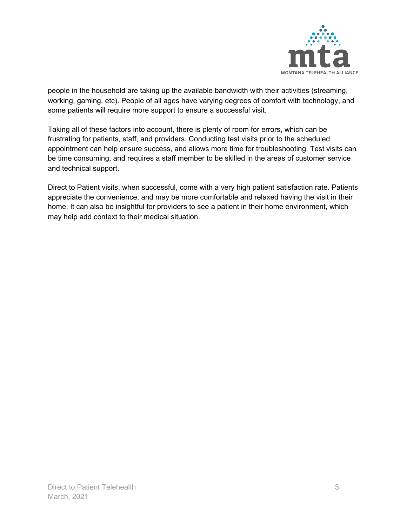

people in the household are taking up the available bandwidth with their activities (streaming, working, gaming, etc). People of all ages have varying degrees of comfort with technology, and some patients will require more support to ensure a successful visit.

Taking all of these factors into account, there is plenty of room for errors, which can be frustrating for patients, staff, and providers. Conducting test visits prior to the scheduled appointment can help ensure success, and allows more time for troubleshooting. Test visits can be time consuming, and requires a staff member to be skilled in the areas of customer service and technical support.

Direct to Patient visits, when successful, come with a very high patient satisfaction rate. Patients appreciate the convenience, and may be more comfortable and relaxed having the visit in their home. It can also be insightful for providers to see a patient in their home environment, which may help add context to their medical situation.